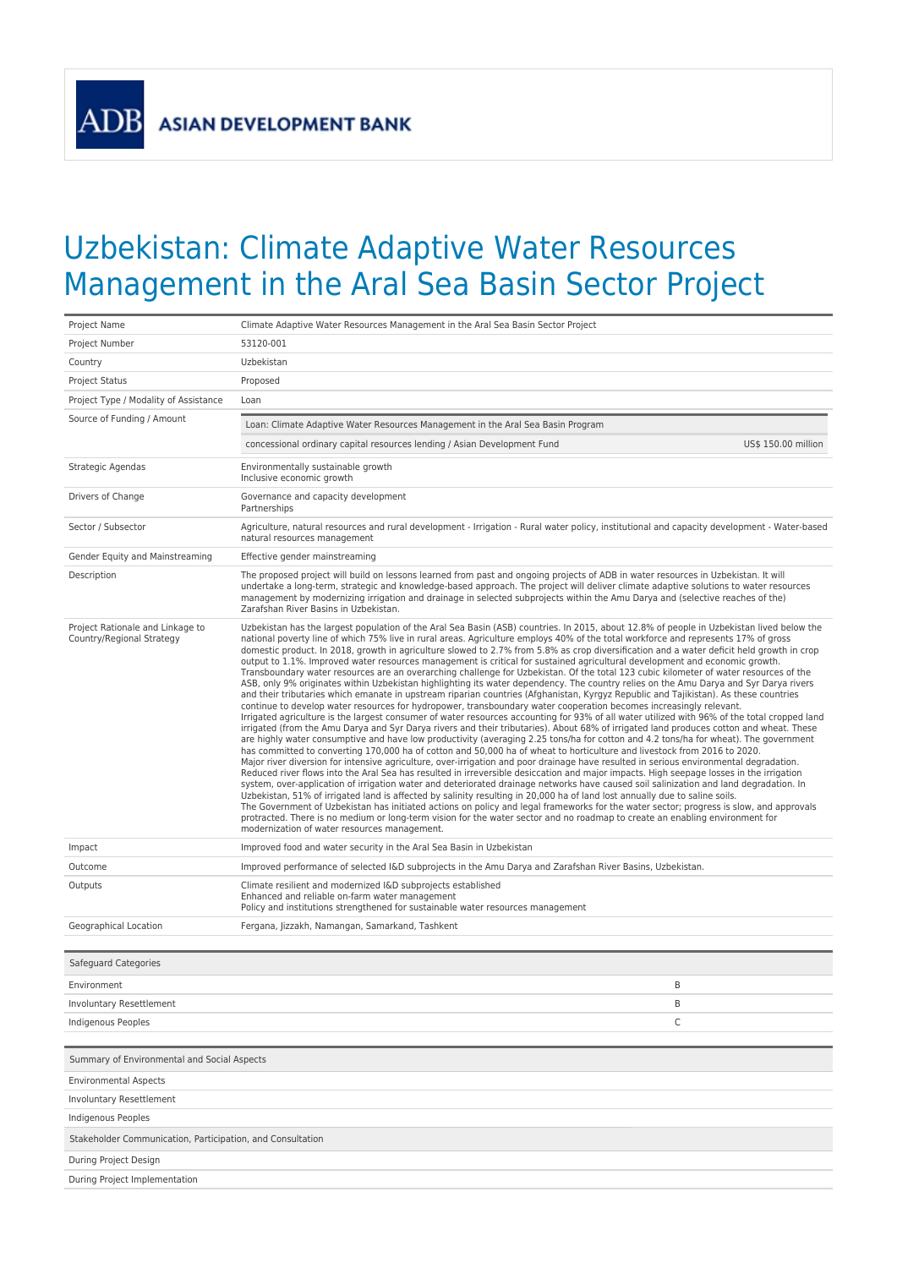**ADB** 

## Uzbekistan: Climate Adaptive Water Resources Management in the Aral Sea Basin Sector Project

| Project Name                                                  | Climate Adaptive Water Resources Management in the Aral Sea Basin Sector Project                                                                                                                                                                                                                                                                                                                                                                                                                                                                                                                                                                                                                                                                                                                                                                                                                                                                                                                                                                                                                                                                                                                                                                                                                                                                                                                                                                                                                                                                                                                                                                                                                                                                                                                                                                                                                                                                                                                                                                                                                                                                                                                                                                                                                                                                                                                                                                                                                                                                                    |  |  |
|---------------------------------------------------------------|---------------------------------------------------------------------------------------------------------------------------------------------------------------------------------------------------------------------------------------------------------------------------------------------------------------------------------------------------------------------------------------------------------------------------------------------------------------------------------------------------------------------------------------------------------------------------------------------------------------------------------------------------------------------------------------------------------------------------------------------------------------------------------------------------------------------------------------------------------------------------------------------------------------------------------------------------------------------------------------------------------------------------------------------------------------------------------------------------------------------------------------------------------------------------------------------------------------------------------------------------------------------------------------------------------------------------------------------------------------------------------------------------------------------------------------------------------------------------------------------------------------------------------------------------------------------------------------------------------------------------------------------------------------------------------------------------------------------------------------------------------------------------------------------------------------------------------------------------------------------------------------------------------------------------------------------------------------------------------------------------------------------------------------------------------------------------------------------------------------------------------------------------------------------------------------------------------------------------------------------------------------------------------------------------------------------------------------------------------------------------------------------------------------------------------------------------------------------------------------------------------------------------------------------------------------------|--|--|
| Project Number                                                | 53120-001                                                                                                                                                                                                                                                                                                                                                                                                                                                                                                                                                                                                                                                                                                                                                                                                                                                                                                                                                                                                                                                                                                                                                                                                                                                                                                                                                                                                                                                                                                                                                                                                                                                                                                                                                                                                                                                                                                                                                                                                                                                                                                                                                                                                                                                                                                                                                                                                                                                                                                                                                           |  |  |
| Country                                                       | Uzbekistan                                                                                                                                                                                                                                                                                                                                                                                                                                                                                                                                                                                                                                                                                                                                                                                                                                                                                                                                                                                                                                                                                                                                                                                                                                                                                                                                                                                                                                                                                                                                                                                                                                                                                                                                                                                                                                                                                                                                                                                                                                                                                                                                                                                                                                                                                                                                                                                                                                                                                                                                                          |  |  |
| <b>Project Status</b>                                         | Proposed                                                                                                                                                                                                                                                                                                                                                                                                                                                                                                                                                                                                                                                                                                                                                                                                                                                                                                                                                                                                                                                                                                                                                                                                                                                                                                                                                                                                                                                                                                                                                                                                                                                                                                                                                                                                                                                                                                                                                                                                                                                                                                                                                                                                                                                                                                                                                                                                                                                                                                                                                            |  |  |
| Project Type / Modality of Assistance                         | Loan                                                                                                                                                                                                                                                                                                                                                                                                                                                                                                                                                                                                                                                                                                                                                                                                                                                                                                                                                                                                                                                                                                                                                                                                                                                                                                                                                                                                                                                                                                                                                                                                                                                                                                                                                                                                                                                                                                                                                                                                                                                                                                                                                                                                                                                                                                                                                                                                                                                                                                                                                                |  |  |
| Source of Funding / Amount                                    | Loan: Climate Adaptive Water Resources Management in the Aral Sea Basin Program                                                                                                                                                                                                                                                                                                                                                                                                                                                                                                                                                                                                                                                                                                                                                                                                                                                                                                                                                                                                                                                                                                                                                                                                                                                                                                                                                                                                                                                                                                                                                                                                                                                                                                                                                                                                                                                                                                                                                                                                                                                                                                                                                                                                                                                                                                                                                                                                                                                                                     |  |  |
|                                                               | concessional ordinary capital resources lending / Asian Development Fund<br>US\$ 150.00 million                                                                                                                                                                                                                                                                                                                                                                                                                                                                                                                                                                                                                                                                                                                                                                                                                                                                                                                                                                                                                                                                                                                                                                                                                                                                                                                                                                                                                                                                                                                                                                                                                                                                                                                                                                                                                                                                                                                                                                                                                                                                                                                                                                                                                                                                                                                                                                                                                                                                     |  |  |
| Strategic Agendas                                             | Environmentally sustainable growth<br>Inclusive economic growth                                                                                                                                                                                                                                                                                                                                                                                                                                                                                                                                                                                                                                                                                                                                                                                                                                                                                                                                                                                                                                                                                                                                                                                                                                                                                                                                                                                                                                                                                                                                                                                                                                                                                                                                                                                                                                                                                                                                                                                                                                                                                                                                                                                                                                                                                                                                                                                                                                                                                                     |  |  |
| Drivers of Change                                             | Governance and capacity development<br>Partnerships                                                                                                                                                                                                                                                                                                                                                                                                                                                                                                                                                                                                                                                                                                                                                                                                                                                                                                                                                                                                                                                                                                                                                                                                                                                                                                                                                                                                                                                                                                                                                                                                                                                                                                                                                                                                                                                                                                                                                                                                                                                                                                                                                                                                                                                                                                                                                                                                                                                                                                                 |  |  |
| Sector / Subsector                                            | Agriculture, natural resources and rural development - Irrigation - Rural water policy, institutional and capacity development - Water-based<br>natural resources management                                                                                                                                                                                                                                                                                                                                                                                                                                                                                                                                                                                                                                                                                                                                                                                                                                                                                                                                                                                                                                                                                                                                                                                                                                                                                                                                                                                                                                                                                                                                                                                                                                                                                                                                                                                                                                                                                                                                                                                                                                                                                                                                                                                                                                                                                                                                                                                        |  |  |
| Gender Equity and Mainstreaming                               | Effective gender mainstreaming                                                                                                                                                                                                                                                                                                                                                                                                                                                                                                                                                                                                                                                                                                                                                                                                                                                                                                                                                                                                                                                                                                                                                                                                                                                                                                                                                                                                                                                                                                                                                                                                                                                                                                                                                                                                                                                                                                                                                                                                                                                                                                                                                                                                                                                                                                                                                                                                                                                                                                                                      |  |  |
| Description                                                   | The proposed project will build on lessons learned from past and ongoing projects of ADB in water resources in Uzbekistan. It will<br>undertake a long-term, strategic and knowledge-based approach. The project will deliver climate adaptive solutions to water resources<br>management by modernizing irrigation and drainage in selected subprojects within the Amu Darya and (selective reaches of the)<br>Zarafshan River Basins in Uzbekistan.                                                                                                                                                                                                                                                                                                                                                                                                                                                                                                                                                                                                                                                                                                                                                                                                                                                                                                                                                                                                                                                                                                                                                                                                                                                                                                                                                                                                                                                                                                                                                                                                                                                                                                                                                                                                                                                                                                                                                                                                                                                                                                               |  |  |
| Project Rationale and Linkage to<br>Country/Regional Strategy | Uzbekistan has the largest population of the Aral Sea Basin (ASB) countries. In 2015, about 12.8% of people in Uzbekistan lived below the<br>national poverty line of which 75% live in rural areas. Agriculture employs 40% of the total workforce and represents 17% of gross<br>domestic product. In 2018, growth in agriculture slowed to 2.7% from 5.8% as crop diversification and a water deficit held growth in crop<br>output to 1.1%. Improved water resources management is critical for sustained agricultural development and economic growth.<br>Transboundary water resources are an overarching challenge for Uzbekistan. Of the total 123 cubic kilometer of water resources of the<br>ASB, only 9% originates within Uzbekistan highlighting its water dependency. The country relies on the Amu Darya and Syr Darya rivers<br>and their tributaries which emanate in upstream riparian countries (Afghanistan, Kyrgyz Republic and Tajikistan). As these countries<br>continue to develop water resources for hydropower, transboundary water cooperation becomes increasingly relevant.<br>Irrigated agriculture is the largest consumer of water resources accounting for 93% of all water utilized with 96% of the total cropped land<br>irrigated (from the Amu Darya and Syr Darya rivers and their tributaries). About 68% of irrigated land produces cotton and wheat. These<br>are highly water consumptive and have low productivity (averaging 2.25 tons/ha for cotton and 4.2 tons/ha for wheat). The government<br>has committed to converting 170,000 ha of cotton and 50,000 ha of wheat to horticulture and livestock from 2016 to 2020.<br>Major river diversion for intensive agriculture, over-irrigation and poor drainage have resulted in serious environmental degradation.<br>Reduced river flows into the Aral Sea has resulted in irreversible desiccation and major impacts. High seepage losses in the irrigation<br>system, over-application of irrigation water and deteriorated drainage networks have caused soil salinization and land degradation. In<br>Uzbekistan, 51% of irrigated land is affected by salinity resulting in 20,000 ha of land lost annually due to saline soils.<br>The Government of Uzbekistan has initiated actions on policy and legal frameworks for the water sector; progress is slow, and approvals<br>protracted. There is no medium or long-term vision for the water sector and no roadmap to create an enabling environment for<br>modernization of water resources management. |  |  |
| Impact                                                        | Improved food and water security in the Aral Sea Basin in Uzbekistan                                                                                                                                                                                                                                                                                                                                                                                                                                                                                                                                                                                                                                                                                                                                                                                                                                                                                                                                                                                                                                                                                                                                                                                                                                                                                                                                                                                                                                                                                                                                                                                                                                                                                                                                                                                                                                                                                                                                                                                                                                                                                                                                                                                                                                                                                                                                                                                                                                                                                                |  |  |
| Outcome                                                       | Improved performance of selected I&D subprojects in the Amu Darya and Zarafshan River Basins, Uzbekistan.                                                                                                                                                                                                                                                                                                                                                                                                                                                                                                                                                                                                                                                                                                                                                                                                                                                                                                                                                                                                                                                                                                                                                                                                                                                                                                                                                                                                                                                                                                                                                                                                                                                                                                                                                                                                                                                                                                                                                                                                                                                                                                                                                                                                                                                                                                                                                                                                                                                           |  |  |
| Outputs                                                       | Climate resilient and modernized I&D subprojects established<br>Enhanced and reliable on-farm water management<br>Policy and institutions strengthened for sustainable water resources management                                                                                                                                                                                                                                                                                                                                                                                                                                                                                                                                                                                                                                                                                                                                                                                                                                                                                                                                                                                                                                                                                                                                                                                                                                                                                                                                                                                                                                                                                                                                                                                                                                                                                                                                                                                                                                                                                                                                                                                                                                                                                                                                                                                                                                                                                                                                                                   |  |  |
| Geographical Location                                         | Fergana, Jizzakh, Namangan, Samarkand, Tashkent                                                                                                                                                                                                                                                                                                                                                                                                                                                                                                                                                                                                                                                                                                                                                                                                                                                                                                                                                                                                                                                                                                                                                                                                                                                                                                                                                                                                                                                                                                                                                                                                                                                                                                                                                                                                                                                                                                                                                                                                                                                                                                                                                                                                                                                                                                                                                                                                                                                                                                                     |  |  |
|                                                               |                                                                                                                                                                                                                                                                                                                                                                                                                                                                                                                                                                                                                                                                                                                                                                                                                                                                                                                                                                                                                                                                                                                                                                                                                                                                                                                                                                                                                                                                                                                                                                                                                                                                                                                                                                                                                                                                                                                                                                                                                                                                                                                                                                                                                                                                                                                                                                                                                                                                                                                                                                     |  |  |
| Safeguard Categories                                          |                                                                                                                                                                                                                                                                                                                                                                                                                                                                                                                                                                                                                                                                                                                                                                                                                                                                                                                                                                                                                                                                                                                                                                                                                                                                                                                                                                                                                                                                                                                                                                                                                                                                                                                                                                                                                                                                                                                                                                                                                                                                                                                                                                                                                                                                                                                                                                                                                                                                                                                                                                     |  |  |
| Environment                                                   | B                                                                                                                                                                                                                                                                                                                                                                                                                                                                                                                                                                                                                                                                                                                                                                                                                                                                                                                                                                                                                                                                                                                                                                                                                                                                                                                                                                                                                                                                                                                                                                                                                                                                                                                                                                                                                                                                                                                                                                                                                                                                                                                                                                                                                                                                                                                                                                                                                                                                                                                                                                   |  |  |
| Involuntary Resettlement                                      | B                                                                                                                                                                                                                                                                                                                                                                                                                                                                                                                                                                                                                                                                                                                                                                                                                                                                                                                                                                                                                                                                                                                                                                                                                                                                                                                                                                                                                                                                                                                                                                                                                                                                                                                                                                                                                                                                                                                                                                                                                                                                                                                                                                                                                                                                                                                                                                                                                                                                                                                                                                   |  |  |
| Indigenous Peoples                                            | C                                                                                                                                                                                                                                                                                                                                                                                                                                                                                                                                                                                                                                                                                                                                                                                                                                                                                                                                                                                                                                                                                                                                                                                                                                                                                                                                                                                                                                                                                                                                                                                                                                                                                                                                                                                                                                                                                                                                                                                                                                                                                                                                                                                                                                                                                                                                                                                                                                                                                                                                                                   |  |  |
|                                                               |                                                                                                                                                                                                                                                                                                                                                                                                                                                                                                                                                                                                                                                                                                                                                                                                                                                                                                                                                                                                                                                                                                                                                                                                                                                                                                                                                                                                                                                                                                                                                                                                                                                                                                                                                                                                                                                                                                                                                                                                                                                                                                                                                                                                                                                                                                                                                                                                                                                                                                                                                                     |  |  |
| Summary of Environmental and Social Aspects                   |                                                                                                                                                                                                                                                                                                                                                                                                                                                                                                                                                                                                                                                                                                                                                                                                                                                                                                                                                                                                                                                                                                                                                                                                                                                                                                                                                                                                                                                                                                                                                                                                                                                                                                                                                                                                                                                                                                                                                                                                                                                                                                                                                                                                                                                                                                                                                                                                                                                                                                                                                                     |  |  |
| <b>Environmental Aspects</b>                                  |                                                                                                                                                                                                                                                                                                                                                                                                                                                                                                                                                                                                                                                                                                                                                                                                                                                                                                                                                                                                                                                                                                                                                                                                                                                                                                                                                                                                                                                                                                                                                                                                                                                                                                                                                                                                                                                                                                                                                                                                                                                                                                                                                                                                                                                                                                                                                                                                                                                                                                                                                                     |  |  |
| Involuntary Resettlement                                      |                                                                                                                                                                                                                                                                                                                                                                                                                                                                                                                                                                                                                                                                                                                                                                                                                                                                                                                                                                                                                                                                                                                                                                                                                                                                                                                                                                                                                                                                                                                                                                                                                                                                                                                                                                                                                                                                                                                                                                                                                                                                                                                                                                                                                                                                                                                                                                                                                                                                                                                                                                     |  |  |
| Indigenous Peoples                                            |                                                                                                                                                                                                                                                                                                                                                                                                                                                                                                                                                                                                                                                                                                                                                                                                                                                                                                                                                                                                                                                                                                                                                                                                                                                                                                                                                                                                                                                                                                                                                                                                                                                                                                                                                                                                                                                                                                                                                                                                                                                                                                                                                                                                                                                                                                                                                                                                                                                                                                                                                                     |  |  |
| Stakeholder Communication, Participation, and Consultation    |                                                                                                                                                                                                                                                                                                                                                                                                                                                                                                                                                                                                                                                                                                                                                                                                                                                                                                                                                                                                                                                                                                                                                                                                                                                                                                                                                                                                                                                                                                                                                                                                                                                                                                                                                                                                                                                                                                                                                                                                                                                                                                                                                                                                                                                                                                                                                                                                                                                                                                                                                                     |  |  |
| During Project Design                                         |                                                                                                                                                                                                                                                                                                                                                                                                                                                                                                                                                                                                                                                                                                                                                                                                                                                                                                                                                                                                                                                                                                                                                                                                                                                                                                                                                                                                                                                                                                                                                                                                                                                                                                                                                                                                                                                                                                                                                                                                                                                                                                                                                                                                                                                                                                                                                                                                                                                                                                                                                                     |  |  |
| During Project Implementation                                 |                                                                                                                                                                                                                                                                                                                                                                                                                                                                                                                                                                                                                                                                                                                                                                                                                                                                                                                                                                                                                                                                                                                                                                                                                                                                                                                                                                                                                                                                                                                                                                                                                                                                                                                                                                                                                                                                                                                                                                                                                                                                                                                                                                                                                                                                                                                                                                                                                                                                                                                                                                     |  |  |